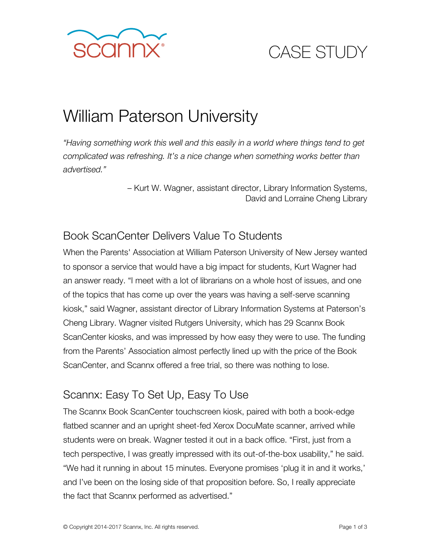

# CASE STUDY

## William Paterson University

*"Having something work this well and this easily in a world where things tend to get complicated was refreshing. It's a nice change when something works better than advertised."*

> – Kurt W. Wagner, assistant director, Library Information Systems, David and Lorraine Cheng Library

#### Book ScanCenter Delivers Value To Students

When the Parents' Association at William Paterson University of New Jersey wanted to sponsor a service that would have a big impact for students, Kurt Wagner had an answer ready. "I meet with a lot of librarians on a whole host of issues, and one of the topics that has come up over the years was having a self-serve scanning kiosk," said Wagner, assistant director of Library Information Systems at Paterson's Cheng Library. Wagner visited Rutgers University, which has 29 Scannx Book ScanCenter kiosks, and was impressed by how easy they were to use. The funding from the Parents' Association almost perfectly lined up with the price of the Book ScanCenter, and Scannx offered a free trial, so there was nothing to lose.

### Scannx: Easy To Set Up, Easy To Use

The Scannx Book ScanCenter touchscreen kiosk, paired with both a book-edge flatbed scanner and an upright sheet-fed Xerox DocuMate scanner, arrived while students were on break. Wagner tested it out in a back office. "First, just from a tech perspective, I was greatly impressed with its out-of-the-box usability," he said. "We had it running in about 15 minutes. Everyone promises 'plug it in and it works,' and I've been on the losing side of that proposition before. So, I really appreciate the fact that Scannx performed as advertised."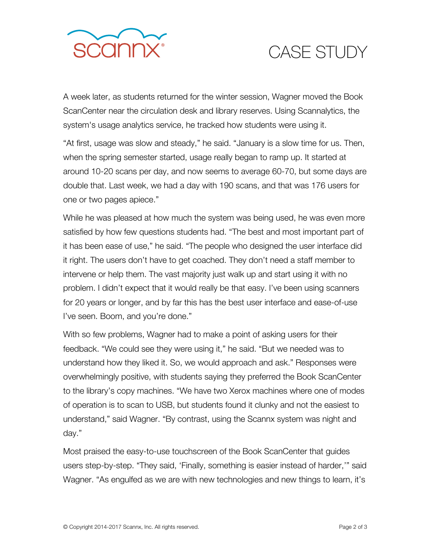

## CASE STUDY

A week later, as students returned for the winter session, Wagner moved the Book ScanCenter near the circulation desk and library reserves. Using Scannalytics, the system's usage analytics service, he tracked how students were using it.

"At first, usage was slow and steady," he said. "January is a slow time for us. Then, when the spring semester started, usage really began to ramp up. It started at around 10-20 scans per day, and now seems to average 60-70, but some days are double that. Last week, we had a day with 190 scans, and that was 176 users for one or two pages apiece."

While he was pleased at how much the system was being used, he was even more satisfied by how few questions students had. "The best and most important part of it has been ease of use," he said. "The people who designed the user interface did it right. The users don't have to get coached. They don't need a staff member to intervene or help them. The vast majority just walk up and start using it with no problem. I didn't expect that it would really be that easy. I've been using scanners for 20 years or longer, and by far this has the best user interface and ease-of-use I've seen. Boom, and you're done."

With so few problems, Wagner had to make a point of asking users for their feedback. "We could see they were using it," he said. "But we needed was to understand how they liked it. So, we would approach and ask." Responses were overwhelmingly positive, with students saying they preferred the Book ScanCenter to the library's copy machines. "We have two Xerox machines where one of modes of operation is to scan to USB, but students found it clunky and not the easiest to understand," said Wagner. "By contrast, using the Scannx system was night and day."

Most praised the easy-to-use touchscreen of the Book ScanCenter that guides users step-by-step. "They said, 'Finally, something is easier instead of harder,'" said Wagner. "As engulfed as we are with new technologies and new things to learn, it's